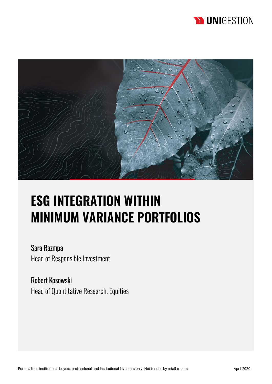# **D UNIGESTION**



# **ESG INTEGRATION WITHIN MINIMUM VARIANCE PORTFOLIOS**

Sara Razmpa Head of Responsible Investment

Robert Kosowski Head of Quantitative Research, Equities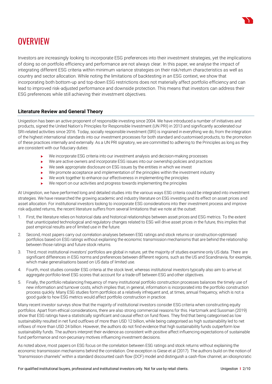

# **OVERVIEW**

Investors are increasingly looking to incorporate ESG preferences into their investment strategies, yet the implications of doing so on portfolio efficiency and performance are not always clear. In this paper, we analyse the impact of integrating different ESG criteria within minimum variance strategies on their risk/return characteristics as well as country and sector allocation. While noting the limitations of backtesting in an ESG context, we show that incorporating both bottom-up and top-down ESG restrictions does not materially affect portfolio efficiency and can lead to improved risk-adjusted performance and downside protection. This means that investors can address their ESG preferences while still achieving their investment objectives.

# **Literature Review and General Theory**

Unigestion has been an active proponent of responsible investing since 2004. We have introduced a number of initiatives and products, signed the United Nation's Principles for Responsible Investment (UN PRI) in 2013 and significantly accelerated our SRI-related activities since 2016. Today, socially responsible investment (SRI) is ingrained in everything we do, from the integration of the highest international standards into our investment processes for both standard and customised products, to the promotion of these practices internally and externally. As a UN PRI signatory, we are committed to adhering to the Principles as long as they are consistent with our fiduciary duties:

- We incorporate ESG criteria into our investment analysis and decision-making processes
- We are active owners and incorporate ESG issues into our ownership policies and practices
- ▶ We seek appropriate disclosure on ESG issues by the entities in which we invest
- We promote acceptance and implementation of the principles within the investment industry
- We work together to enhance our effectiveness in implementing the principles
- We report on our activities and progress towards implementing the principles

At Unigestion, we have performed long and detailed studies into the various ways ESG criteria could be integrated into investment strategies. We have researched the growing academic and industry literature on ESG investing and its effect on asset prices and asset allocation. For institutional investors looking to incorporate ESG considerations into their investment process and improve risk-adjusted returns, the recent literature suffers from several limitations that we note at the outset:

- 1. First, the literature relies on historical data and historical relationships between asset prices and ESG metrics. To the extent that unanticipated technological and regulatory changes related to ESG will drive asset prices in the future, this implies that past empirical results are of limited use in the future.
- 2. Second, most papers carry out correlation analyses between ESG ratings and stock returns or construction-optimised portfolios based on ESG ratings without explaining the economic transmission mechanisms that are behind the relationship between those ratings and future stock returns.
- 3. Third, most institutional investors' portfolios are global in nature, yet the majority of studies examine only US data. There are significant differences in ESG norms and preferences between different regions, such as the US and Scandinavia, for example, which make generalisations based on US data of limited use.
- 4. Fourth, most studies consider ESG criteria at the stock level, whereas institutional investors typically also aim to arrive at aggregate portfolio-level ESG scores that account for a trade-off between ESG and other objectives.
- 5. Finally, the portfolio rebalancing frequency of many institutional portfolio construction processes balances the timely use of new information and turnover costs, which implies that, in general, information is incorporated into the portfolio construction process quickly. Many ESG studies form portfolios at a relatively infrequent and, at times, annual frequency, which is not a good guide to how ESG metrics would affect portfolio construction in practice.

Many recent investor surveys show that the majority of institutional investors consider ESG criteria when constructing equity portfolios. Apart from ethical considerations, there are also strong commercial reasons for this. Hartzmark and Sussman (2019) show that ESG ratings have a statistically significant and causal effect on fund flows. They find that being categorised as low sustainability resulted in net fund outflows of more than USD 12 billion, while being categorised as high sustainability led to net inflows of more than USD 24 billion. However, the authors do not find evidence that high sustainability funds outperform low sustainability funds. The authors interpret their evidence as consistent with positive affect influencing expectations of sustainable fund performance and non-pecuniary motives influencing investment decisions.

As noted above, most papers on ESG focus on the correlation between ESG ratings and stock returns without explaining the economic transmission mechanisms behind the correlation. One exception is Giese et al (2017). The authors build on the notion of "transmission channels" within a standard discounted cash flow (DCF) model and distinguish a cash-flow channel, an idiosyncratic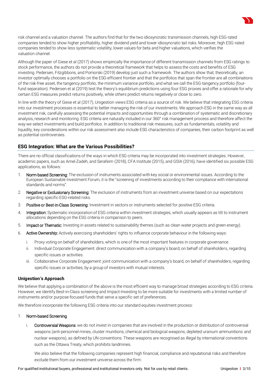risk channel and a valuation channel. The authors find that for the two idiosyncratic transmission channels, high ESG-rated companies tended to show higher profitability, higher dividend yield and lower idiosyncratic tail risks. Moreover, high ESG-rated companies tended to show less systematic volatility, lower values for beta and higher valuations, which verifies the valuation channel.

Although the paper of Giese et al (2017) shows empirically the importance of different transmission channels from ESG ratings to stock performance, the authors do not provide a theoretical framework that helps to assess the costs and benefits of ESG investing. Pedersen, Fitzgibbons, and Pomorski (2019) develop just such a framework. The authors show that, theoretically, an investor optimally chooses a portfolio on the ESG-efficient frontier and that the portfolios that span the frontier are all combinations of the risk-free asset, the tangency portfolio, the minimum variance portfolio, and what we call the ESG-tangency portfolio (fourfund separation). Pedersen et al (2019) test the theory's equilibrium predictions using four ESG proxies and offer a rationale for why certain ESG measures predict returns positively, while others predict returns negatively or close to zero.

In line with the theory of Giese et al (2017), Unigestion views ESG criteria as a source of risk. We believe that integrating ESG criteria into our investment processes is essential to better managing the risk of our investments. We approach ESG in the same way as all investment risk, carefully assessing the potential impacts and opportunities through a combination of systematic and discretionary analysis, research and monitoring. ESG criteria are naturally included in our 360° risk management process and therefore affect the way we select investments and build portfolios. In addition to traditional risk measures, such as fundamentals, volatility and liquidity, key considerations within our risk assessment also include ESG characteristics of companies, their carbon footprint as well as potential controversies.

# **ESG Integration: What are the Various Possibilities?**

There are no official classifications of the ways in which ESG criteria may be incorporated into investment strategies. However, academic papers, such as Amel-Zadeh, and Serafeim (2018), CFA Institute (2015), and GSIA (2016), have identified six possible ESG applications, as follows:

- 1. Norm-based Screening: The exclusion of instruments associated with key social or environmental issues. According to the European Sustainable Investment Forum, it is the "screening of investments according to their compliance with international standards and norms".
- 2. Negative or Exclusionary Screening: The exclusion of instruments from an investment universe based on our expectations regarding specific ESG-related risks.
- 3. Positive or Best-in-Class Screening: Investment in sectors or instruments selected for positive ESG criteria.
- 4. Integration: Systematic incorporation of ESG criteria within investment strategies, which usually appears as tilt to instrument allocations depending on the ESG criteria in comparison to peers.
- 5. **Impact or Thematic:** Investing in assets related to sustainability themes (such as clean water projects and green energy).
- 6. Active Ownership: Actively exercising shareholders' rights to influence corporate behaviour in the following ways:
	- i. Proxy voting on behalf of shareholders, which is one of the most important features in corporate governance.
	- ii. Individual Corporate Engagement: direct communication with a company's board, on behalf of shareholders, regarding specific issues or activities.
	- iii. Collaborative Corporate Engagement: joint communication with a company's board, on behalf of shareholders, regarding specific issues or activities, by a group of investors with mutual interests.

### **Unigestion's Approach**

We believe that applying a combination of the above is the most efficient way to manage broad strategies according to ESG criteria. However, we identify Best-in-Class screening and Impact-Investing to be more suitable for investments with a limited number of instruments and/or purpose-focused funds that serve a specific set of preferences.

We therefore incorporate the following ESG criteria into our standard equities investment process:

### 1. Norm-based Screening

i. Controversial Weapons: we do not invest in companies that are involved in the production or distribution of controversial weapons (anti-personnel mines, cluster munitions, chemical and biological weapons, depleted uranium ammunitions and nuclear weapons), as defined by UN conventions. These weapons are recognised as illegal by international conventions such as the Ottawa Treaty, which prohibits landmines.

We also believe that the following companies represent high financial, compliance and reputational risks and therefore exclude them from our investment universe across the firm:

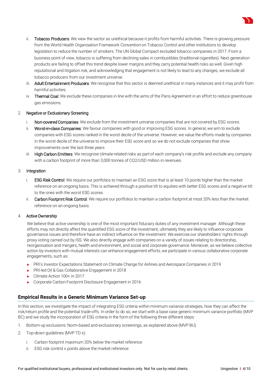- ii. Tobacco Producers: We view the sector as unethical because it profits from harmful activities. There is growing pressure from the World Health Organisation Framework Convention on Tobacco Control and other institutions to develop legislation to reduce the number of smokers. The UN Global Compact excluded tobacco companies in 2017. From a business point of view, tobacco is suffering from declining sales in combustibles (traditional cigarettes). Next-generation products are failing to offset this trend despite lower margins and they carry potential health risks as well. Given high reputational and litigation risk, and acknowledging that engagement is not likely to lead to any changes, we exclude all tobacco producers from our investment universe.
- iii. Adult Entertainment Producers: We recognise that this sector is deemed unethical in many instances and it may profit from harmful activities.
- iv. Thermal Coal: We exclude these companies in line with the aims of the Paris Agreement in an effort to reduce greenhouse gas emissions.

# 2. Negative or Exclusionary Screening

- i. Non-covered Companies: We exclude from the investment universe companies that are not covered by ESG scores.
- ii. Worst-in-class Companies: We favour companies with good or improving ESG scores. In general, we aim to exclude companies with ESG scores ranked in the worst decile of the universe. However, we value the efforts made by companies in the worst decile of the universe to improve their ESG score and so we do not exclude companies that show improvements over the last three years.
- iii. High Carbon Emitters: We recognise climate-related risks as part of each company's risk profile and exclude any company with a carbon footprint of more than 3,000 tonnes of CO2/USD million in revenues.

# 3. Integration

- i. ESG Risk Control: We require our portfolios to maintain an ESG score that is at least 10 points higher than the market reference on an ongoing basis. This is achieved through a positive tilt to equities with better ESG scores and a negative tilt to the ones with the worst ESG scores.
- ii. Carbon Footprint Risk Control: We require our portfolios to maintain a carbon footprint at most 20% less than the market reference on an ongoing basis.

### 4. Active Ownership

We believe that active ownership is one of the most important fiduciary duties of any investment manager. Although these efforts may not directly affect the quantified ESG score of the investment, ultimately they are likely to influence corporate governance issues and therefore have an indirect influence on the investment. We exercise our shareholders' rights through proxy voting carried out by ISS. We also directly engage with companies on a variety of issues relating to directorship, reorganisation and mergers, health and environment, and social and corporate governance. Moreover, as we believe collective action by investors with mutual interests can enhance engagement efforts, we participate in various collaborative corporate engagements, such as:

- PRI's Investor Expectations Statement on Climate Change for Airlines and Aerospace Companies in 2019
- ▶ PRI-led Oil & Gas Collaborative Engagement in 2018
- ▶ Climate Action 100+ in 2017
- Corporate Carbon Footprint Disclosure Engagement in 2016

# **Empirical Results in a Generic Minimum Variance Set-up**

In this section, we investigate the impact of integrating ESG criteria within minimum variance strategies, how they can affect the risk/return profile and the potential trade-offs. In order to do so, we start with a base case generic minimum variance portfolio (MVP BC) and we study the incorporation of ESG criteria in the form of the following three different steps:

- 1. Bottom-up exclusions: Norm-based and exclusionary screenings, as explained above (MVP BU)
- 2. Top-down guidelines (MVP TD x):
	- i. Carbon footprint maximum 20% below the market reference
	- ii. ESG risk control x points above the market reference

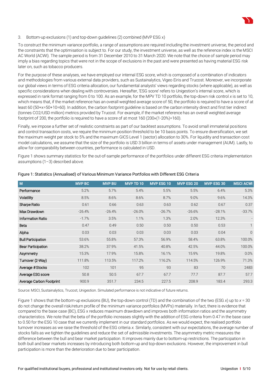

#### 3. Bottom-up exclusions (1) and top-down guidelines (2) combined (MVP ESG x)

To construct the minimum variance portfolio, a range of assumptions are required including the investment universe, the period and the constraints that the optimisation is subject to. For our study, the investment universe, as well as the reference index is the MSCI AC World (ACWI). The sample period is from 31 December 2010 to 31 March 2020. We note that the choice of sample period may imply a bias regarding topics that were not in the scope of exclusions in the past and were presented as having material ESG risk later on, such as tobacco producers.

For the purpose of these analyses, we have employed our internal ESG score, which is composed of a combination of indicators and methodologies from various external data providers, such as Sustainalytics, Vigeo Eiris and Trucost. Moreover, we incorporate our global views in terms of ESG criteria allocation, our fundamental analysts' views regarding stocks (where applicable), as well as specific considerations when dealing with controversies. Hereafter, 'ESG score' refers to Unigestion's internal score, which is expressed in rank format ranging from 0 to 100. As an example, for the MPV TD 10 portfolio, the top-down risk control *x* is set to 10, which means that, if the market reference has an overall weighted average score of 50, the portfolio is required to have a score of at least 60 (50+x=50+10=60). In addition, the carbon footprint guideline is based on the carbon intensity direct and first tier indirect (tonnes CO2/USD million) metrics provided by Trucost. For example, if the market reference has an overall weighted average footprint of 200, the portfolio is required to have a score of at most 160 (200×(1-20%)=160).

Finally, we impose a further set of realistic constraints as part of our backtest assumptions. To avoid small immaterial positions and control transaction costs, we require the minimum position threshold to be 10 basis points. To ensure diversification, we set the maximum weight per stock to 5% and the maximum GICS Level 1 (sector) allocation to 30%. For liquidity and transaction cost model calculations, we assume that the size of the portfolio is USD 3 billion in terms of assets under management (AUM). Lastly, to allow for comparability between countries, performance is calculated in USD.

Figure 1 shows summary statistics for the out-of-sample performance of the portfolios under different ESG criteria implementation assumptions (1–3) described above.

| M                         | <b>MVP BC</b> | <b>MVP BU</b> | <b>MVP TD 10</b> | <b>MVP ESG 10</b> | <b>MVP ESG 20</b> | <b>MVP ESG 30</b> | <b>MSCI ACWI</b> |
|---------------------------|---------------|---------------|------------------|-------------------|-------------------|-------------------|------------------|
| Performance               | 5.2%          | 5.7%          | 5.4%             | 5.5%              | 5.5%              | 6.4%              | 5.3%             |
| Volatility                | 8.5%          | 8.6%          | 8.6%             | 8.7%              | 9.0%              | 9.6%              | 14.3%            |
| Sharpe Ratio              | 0.61          | 0.66          | 0.63             | 0.63              | 0.62              | 0.67              | 0.37             |
| Max Drawdown              | $-26.4%$      | $-26.4%$      | $-26.0%$         | $-26.7%$          | $-26.6%$          | $-28.1%$          | $-33.7%$         |
| <b>Information Ratio</b>  | $-1.7%$       | 3.5%          | 1.1%             | 1.3%              | 2.0%              | 12.3%             |                  |
| Beta                      | 0.47          | 0.49          | 0.50             | 0.50              | 0.50              | 0.53              |                  |
| Alpha                     | 0.03          | 0.03          | 0.03             | 0.03              | 0.03              | 0.04              | $\theta$         |
| <b>Bull Participation</b> | 53.6%         | 55.8%         | 57.3%            | 56.9%             | 58.4%             | 63.8%             | 100.0%           |
| <b>Bear Participation</b> | 38.2%         | 37.9%         | 41.5%            | 40.8%             | 42.5%             | 44.0%             | 100.0%           |
| Asymmetry                 | 15.3%         | 17.9%         | 15.8%            | 16.1%             | 15.9%             | 19.8%             | 0.0%             |
| Turnover (2-Way)          | 111.8%        | 113.5%        | 117.2%           | 116.2%            | 114.5%            | 126.9%            | 71.3%            |
| Average #Stocks           | 102           | 101           | 95               | 93                | 83                | 70                | 2483             |
| Average ESG score         | 50.8          | 50.5          | 67.7             | 67.7              | 77.7              | 87.7              | 57.7             |
| Average Carbon Footprint  | 900.9         | 351.7         | 234.5            | 227.5             | 208.9             | 183.4             | 293.3            |

Figure 1: Statistics (Annualised) of Various Minimum Variance Portfolios with Different ESG Criteria

Source: MSCI, Sustainalytics, Trucost, Unigestion. Simulated performance is not indicative of future returns.

Figure 1 shows that the bottom-up exclusions (BU), the top-down control (TD) and the combination of the two (ESG *x*) up to *x* = 30 do not change the overall risk/return profile of the minimum variance portfolios (MVPs) materially. In fact, there is evidence that compared to the base case (BC), ESG x reduces maximum drawdown and improves both information ratios and the asymmetry characteristics. We note that the beta of the portfolio increases slightly with the addition of ESG criteria from 0.47 in the base case to 0.50 for the ESG 10 case that we currently implement in our standard portfolios. As we would expect, the realised portfolio turnover increases as we raise the threshold of the ESG criteria *x.* Similarly, consistent with our expectations, the average number of stocks falls as we tighten the guidelines and reduce the set of admissible investments. The asymmetry metric measures the difference between the bull and bear market participation. It improves mainly due to bottom-up restrictions. The participation in both bull and bear markets increases by introducing both bottom-up and top-down exclusions. However, the improvement in bull participation is more than the deterioration due to bear participation.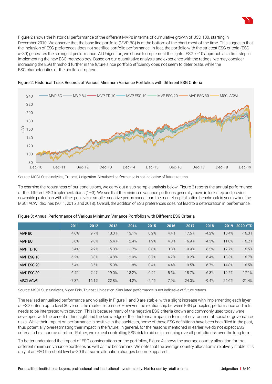

Figure 2 shows the historical performance of the different MVPs in terms of cumulative growth of USD 100, starting in December 2010. We observe that the base line portfolio (MVP BC) is at the bottom of the chart most of the time. This suggests that the inclusion of ESG preferences does not sacrifice portfolio performance. In fact, the portfolio with the strictest ESG criteria (ESG x=30) generates the strongest performance. At Unigestion, we chose to implement the lighter ESG x=10 approach as a first step in implementing the new ESG methodology. Based on our quantitative analysis and experience with the ratings, we may consider increasing the ESG threshold further in the future since portfolio efficiency does not seem to deteriorate, while the ESG characteristics of the portfolio improve.





Source: MSCI, Sustainalytics, Trucost, Unigestion. Simulated performance is not indicative of future returns.

To examine the robustness of our conclusions, we carry out a sub-sample analysis below. Figure 3 reports the annual performance of the different ESG implementations (1–3). We see that the minimum variance portfolios generally move in lock step and provide downside protection with either positive or smaller negative performance than the market capitalisation benchmark in years when the MSCI ACWI declines (2011, 2015, and 2018). Overall, the addition of ESG preferences does not lead to a deterioration in performance.

|                  | 2011    | 2012  | 2013  | 2014  | 2015    | 2016 | 2017  | 2018     | 2019  | <b>2020 YTD</b> |
|------------------|---------|-------|-------|-------|---------|------|-------|----------|-------|-----------------|
| MVP BC           | 4.6%    | 9.7%  | 13.0% | 13.1% | 0.2%    | 4.4% | 17.6% | $-4.2%$  | 10.4% | $-16.3%$        |
| <b>MVP BU</b>    | 5.6%    | 9.8%  | 15.4% | 12.4% | 1.9%    | 4.8% | 16.9% | $-4.3%$  | 11.0% | $-16.2%$        |
| MVPTD 10         | 5.4%    | 9.2%  | 15.3% | 11.7% | 0.8%    | 3.8% | 19.9% | $-6.5%$  | 12.7% | $-16.5%$        |
| MVP ESG 10       | 6.2%    | 8.8%  | 14.8% | 12.0% | 0.7%    | 4.2% | 19.2% | $-6.4%$  | 13.3% | $-16.7%$        |
| MVP ESG 20       | 5.4%    | 8.5%  | 15.0% | 11.8% | 0.4%    | 4.4% | 19.5% | $-6.7\%$ | 14.8% | $-16.5%$        |
| MVP ESG 30       | 6.4%    | 7.4%  | 19.0% | 13.2% | $-0.4%$ | 5.6% | 18.7% | $-6.3%$  | 19.2% | $-17.1%$        |
| <b>MSCI ACWI</b> | $-7.3%$ | 16.1% | 22.8% | 4.2%  | $-2.4%$ | 7.9% | 24.0% | $-9.4%$  | 26.6% | $-21.4%$        |

# Figure 3: Annual Performance of Various Minimum Variance Portfolios with Different ESG Criteria

Source: MSCI, Sustainalytics, Vigeo Eiris, Trucost, Unigestion. Simulated performance is not indicative of future returns.

The realised annualised performance and volatility in Figure 1 and 3 are stable, with a slight increase with implementing each layer of ESG criteria up to level 30 versus the market reference. However, the relationship between ESG principles, performance and risk needs to be interpreted with caution. This is because many of the negative ESG criteria known and commonly used today were developed with the benefit of hindsight and the knowledge of their historical impact in terms of environmental, social or governance risks. While their impact on performance is positive in the backtests, some of these ESG definitions have been backfilled in the past, thus potentially overestimating their impact in the future. In general, for the reasons mentioned in earlier, we do not expect ESG criteria to be a source of return. Rather, we expect controlling ESG risk to aid us in reducing overall portfolio risk over the long term.

To better understand the impact of ESG considerations on the portfolios, Figure 4 shows the average country allocation for the different minimum variance portfolios as well as the benchmark. We note that the average country allocation is relatively stable. It is only at an ESG threshold level x=30 that some allocation changes become apparent.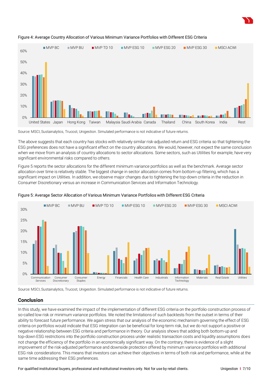



### Figure 4: Average Country Allocation of Various Minimum Variance Portfolios with Different ESG Criteria

Source: MSCI, Sustainalytics, Trucost, Unigestion. Simulated performance is not indicative of future returns.

The above suggests that each country has stocks with relatively similar risk-adjusted return and ESG criteria so that tightening the ESG preferences does not have a significant effect on the country allocations. We would, however, not expect the same conclusion when we move from an analysis of country allocations to sector allocations. Some sectors, such as Utilities for example, have very significant environmental risks compared to others.

Figure 5 reports the sector allocations for the different minimum variance portfolios as well as the benchmark. Average sector allocation over time is relatively stable. The biggest change in sector allocation comes from bottom-up filtering, which has a significant impact on Utilities. In addition, we observe major changes due to tightening the top-down criteria in the reduction in Consumer Discretionary versus an increase in Communication Services and Information Technology.



# Figure 5: Average Sector Allocation of Various Minimum Variance Portfolios with Different ESG Criteria

Source: MSCI, Sustainalytics, Trucost, Unigestion. Simulated performance is not indicative of future returns.

# **Conclusion**

In this study, we have examined the impact of the implementation of different ESG criteria on the portfolio construction process of so-called low risk or minimum variance portfolios. We noted the limitations of such backtests from the outset in terms of their ability to forecast future performance. We again stress that our analysis of the economic mechanism governing the effect of ESG criteria on portfolios would indicate that ESG integration can be beneficial for long-term risk, but we do not support a positive or negative relationship between ESG criteria and performance in theory. Our analysis shows that adding both bottom-up and top-down ESG restrictions into the portfolio construction process under realistic transaction costs and liquidity assumptions does not change the efficiency of the portfolio in an economically significant way. On the contrary, there is evidence of a slight improvement of the risk-adjusted performance and downside protection offered by minimum variance portfolios with additional ESG risk considerations. This means that investors can achieve their objectives in terms of both risk and performance, while at the same time addressing their ESG preferences.

For qualified institutional buyers, professional and institutional investors only. Not for use by retail clients. Unigestion **I** 7/10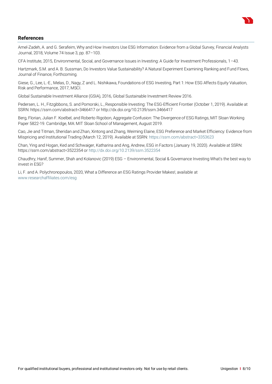

# **References**

Amel-Zadeh, A. and G. Serafeim, Why and How Investors Use ESG Information: Evidence from a Global Survey, Financial Analysts Journal, 2018, Volume 74 Issue 3, pp. 87–103.

CFA Institute, 2015, Environmental, Social, and Governance Issues in Investing: A Guide for Investment Professionals, 1–43.

Hartzmark, S.M. and A. B. Sussman, Do Investors Value Sustainability? A Natural Experiment Examining Ranking and Fund Flows, Journal of Finance, Forthcoming.

Giese, G., Lee, L.-E., Melas, D., Nagy, Z and L. Nishikawa, Foundations of ESG Investing, Part 1: How ESG Affects Equity Valuation, Risk and Performance, 2017, MSCI.

Global Sustainable Investment Alliance (GSIA), 2016, Global Sustainable Investment Review 2016.

Pedersen, L. H., Fitzgibbons, S. and Pomorski, L., Responsible Investing: The ESG-Efficient Frontier (October 1, 2019). Available at SSRN: https://ssrn.com/abstract=3466417 or http://dx.doi.org/10.2139/ssrn.3466417

Berg, Florian, Julian F. Koelbel, and Roberto Rigobon, Aggregate Confusion: The Divergence of ESG Ratings, MIT Sloan Working Paper 5822-19. Cambridge, MA: MIT Sloan School of Management, August 2019.

Cao, Jie and Titman, Sheridan and Zhan, Xintong and Zhang, Weiming Elaine, ESG Preference and Market Efficiency: Evidence from Mispricing and Institutional Trading (March 12, 2019). Available at SSRN[: https://ssrn.com/abstract=3353623](https://ssrn.com/abstract=3353623)

Chan, Ying and Hogan, Ked and Schwaiger, Katharina and Ang, Andrew, ESG in Factors (January 19, 2020). Available at SSRN: https://ssrn.com/abstract=3522354 o[r http://dx.doi.org/10.2139/ssrn.3522354](http://dx.doi.org/10.2139/ssrn.3522354)

Chaudhry, Hanif, Summer, Shah and Kolanovic (2019) ESG – Environmental, Social & Governance Investing What's the best way to invest in ESG?

Li, F. and A. Polychronopoulos, 2020, What a Difference an ESG Ratings Provider Makes!, available at [www.researchaffiliates.com/esg](http://www.researchaffiliates.com/esg)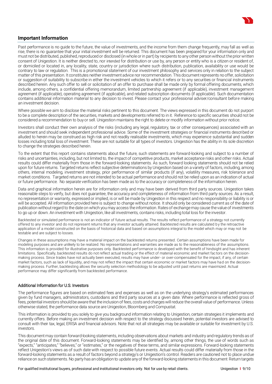

# **Important Information**

Past performance is no guide to the future, the value of investments, and the income from them change frequently, may fall as well as rise, there is no guarantee that your initial investment will be returned. This document has been prepared for your information only and must not be distributed, published, reproduced or disclosed (in whole or in part) by recipients to any other person without the prior written consent of Unigestion. It is neither directed to, nor intended for distribution or use by, any person or entity who is a citizen or resident of, or domiciled or located in, any locality, state, country or jurisdiction where such distribution, publication, availability or use would be contrary to law or regulation. This is a promotional statement of our investment philosophy and services only in relation to the subject matter of this presentation. It constitutes neither investment advice nor recommendation. This document represents no offer, solicitation or suggestion of suitability to subscribe in either the investment vehicles to which it refers or to any securities or financial instruments described herein. Any such offer to sell or solicitation of an offer to purchase shall be made only by formal offering documents, which include, among others, a confidential offering memorandum, limited partnership agreement (if applicable), investment management agreement (if applicable), operating agreement (if applicable), and related subscription documents (if applicable). Such documentation contains additional information material to any decision to invest. Please contact your professional adviser/consultant before making an investment decision.

Where possible we aim to disclose the material risks pertinent to this document. The views expressed in this document do not purport to be a complete description of the securities, markets and developments referred to in it. Reference to specific securities should not be considered a recommendation to buy or sell. Unigestion maintains the right to delete or modify information without prior notice.

Investors shall conduct their own analysis of the risks (including any legal, regulatory, tax or other consequences) associated with an investment and should seek independent professional advice. Some of the investment strategies or financial instruments described or alluded to herein may be construed as high risk and not readily realisable investments, which may experience substantial and sudden losses including total loss of investment. These are not suitable for all types of investors. Unigestion has the ability in its sole discretion to change the strategies described herein.

To the extent that this report contains statements about the future, such statements are forward-looking and subject to a number of risks and uncertainties, including, but not limited to, the impact of competitive products, market acceptance risks and other risks. Actual results could differ materially from those in the forward-looking statements. As such, forward looking statements should not be relied upon for future returns. Targeted returns reflect subjective determinations by Unigestion based on a variety of factors, including, among others, internal modeling, investment strategy, prior performance of similar products (if any), volatility measures, risk tolerance and market conditions. Targeted returns are not intended to be actual performance and should not be relied upon as an indication of actual or future performance. No separate verification has been made as to the accuracy or completeness of the information herein.

Data and graphical information herein are for information only and may have been derived from third party sources. Unigestion takes reasonable steps to verify, but does not guarantee, the accuracy and completeness of information from third party sources. As a result, no representation or warranty, expressed or implied, is or will be made by Unigestion in this respect and no responsibility or liability is or will be accepted. All information provided here is subject to change without notice. It should only be considered current as of the date of publication without regard to the date on which you may access the information. Rates of exchange may cause the value of investments to go up or down. An investment with Unigestion, like all investments, contains risks, including total loss for the investor.

Backtested or simulated performance is not an indicator of future actual results. The results reflect performance of a strategy not currently offered to any investor and do not represent returns that any investor actually attained. Backtested results are calculated by the retroactive application of a model constructed on the basis of historical data and based on assumptions integral to the model which may or may not be testable and are subject to losses.

Changes in these assumptions may have a material impact on the backtested returns presented. Certain assumptions have been made for modeling purposes and are unlikely to be realized. No representations and warranties are made as to the reasonableness of the assumptions. This information is provided for illustrative purposes only. Backtested performance is developed with the benefit of hindsight and has inherent limitations. Specifically, backtested results do not reflect actual trading or the effect of material economic and market fac tors on the decisionmaking process. Since trades have not actually been executed, results may have under- or over-compensated for the impact, if any, of certain market factors, such as lack of liquidity, and may not reflect the impact that certain economic or market factors may have had on the decisionmaking process. Further, backtesting allows the security selection methodology to be adjusted until past returns are maximized. Actual performance may differ significantly from backtested performance.

#### Additional Information for U.S. Investors

The performance figures are based on estimated fees and expenses as well as on the underlying strategy's estimated performances given by fund managers, administrators, custodians and third party sources at a given date. Where performance is reflected gross of fees, potential investors should be aware that the inclusion of fees, costs and charges will reduce the overall value of performance. Unless otherwise stated, the performance data source are Unigestion, Bloomberg and Compustat.

This information is provided to you solely to give you background information relating to Unigestion, certain strategies it implements and currently offers. Before making an investment decision with respect to the strategy discussed herein, potential investors are advised to consult with their tax, legal, ERISA and financial advisors. Note that not all strategies may be available or suitable for investment by U.S. investors.

This document may contain forward-looking statements, including observations about markets and industry and regulatory trends as of the original date of this document. Forward-looking statements may be identified by, among other things, the use of words such as "expects," "anticipates," "believes," or "estimates," or the negatives of these terms, and similar expressions. Forward-looking statements reflect Unigestion's views as of such date with respect to possible future events. Actual results could differ materially from those in the forward-looking statements as a result of factors beyond a strategy's or Unigestion's control. Readers are cautioned not to place undue reliance on such statements. No party has an obligation to update any of the forward-looking statements in this document Return targets